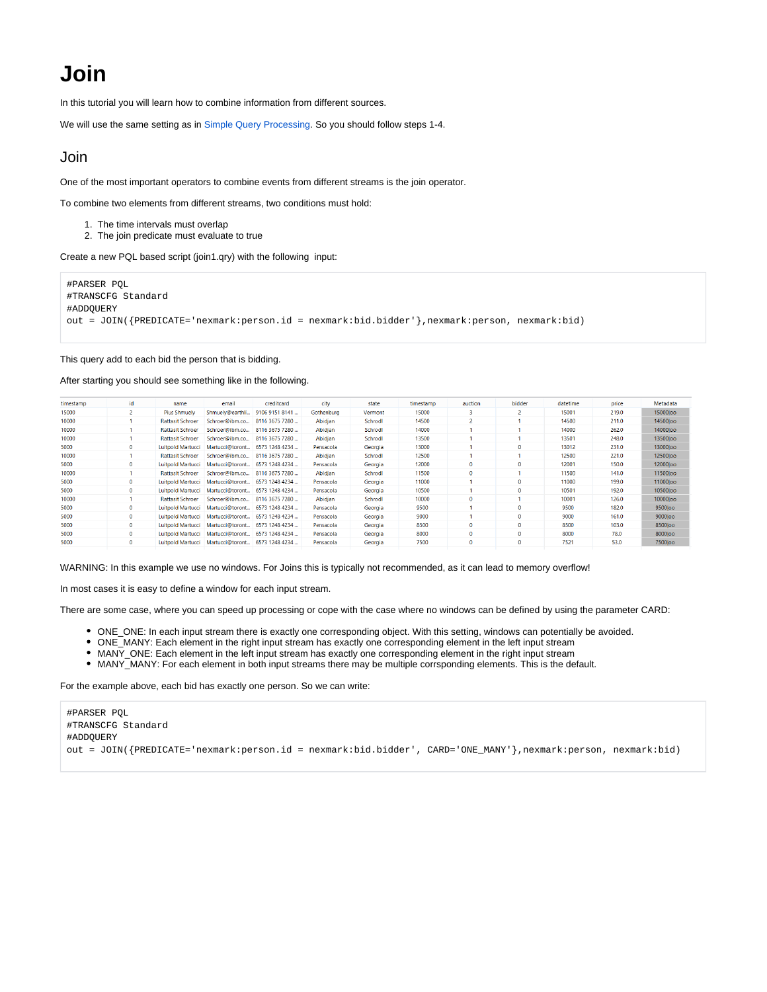## **Join**

In this tutorial you will learn how to combine information from different sources.

We will use the same setting as in [Simple Query Processing.](https://wiki.odysseus.informatik.uni-oldenburg.de/display/ODYSSEUS/Simple+Query+Processing) So you should follow steps 1-4.

## Join

One of the most important operators to combine events from different streams is the join operator.

To combine two elements from different streams, two conditions must hold:

- 1. The time intervals must overlap
- 2. The join predicate must evaluate to true

Create a new PQL based script (join1.qry) with the following input:

#PARSER PQL #TRANSCFG Standard #ADDQUERY out = JOIN({PREDICATE='nexmark:person.id = nexmark:bid.bidder'},nexmark:person, nexmark:bid)

This query add to each bid the person that is bidding.

After starting you should see something like in the following.

| timestamp | id           | name                     | email                             | creditcard     | city       | state   | timestamp | auction      | bidder       | datetime | price | Metadata            |
|-----------|--------------|--------------------------|-----------------------------------|----------------|------------|---------|-----------|--------------|--------------|----------|-------|---------------------|
| 15000     |              | <b>Pius Shmuely</b>      | Shmuely@earthli                   | 9106 9151 8141 | Gothenburg | Vermont | 15000     | R            |              | 15001    | 219.0 | <b>15000 loo</b>    |
| 10000     |              | <b>Rattasit Schroer</b>  | Schroer@ibm.co                    | 8116 3675 7280 | Abidian    | Schrodl | 14500     |              |              | 14500    | 211.0 | 14500loo            |
| 10000     |              | <b>Rattasit Schroer</b>  | Schroer@ibm.co                    | 8116 3675 7280 | Abidjan    | Schrodl | 14000     |              |              | 14000    | 262.0 | 14000 loo           |
| 10000     |              | <b>Rattasit Schroer</b>  | Schroer@ibm.co                    | 8116 3675 7280 | Abidian    | Schrodl | 13500     |              |              | 13501    | 248.0 | 13500loo            |
| 5000      | $\Omega$     | Luitpold Martucci        | Martucci@toront                   | 6573 1248 4234 | Pensacola  | Georgia | 13000     |              | o            | 13012    | 231.0 | 13000loo            |
| 10000     |              | <b>Rattasit Schroer</b>  | Schroer@ibm.co                    | 8116 3675 7280 | Abidian    | Schrodl | 12500     |              |              | 12500    | 221.0 | <b>12500 loo</b>    |
| 5000      | $\mathbf{0}$ | <b>Luitpold Martucci</b> | Martucci@toront                   | 6573 1248 4234 | Pensacola  | Georgia | 12000     | $\Omega$     | $\mathbf{0}$ | 12001    | 150.0 | 12000 loo           |
| 10000     |              | <b>Rattasit Schroer</b>  | Schroer@ibm.co                    | 8116 3675 7280 | Abidjan    | Schrodl | 11500     | $\Omega$     |              | 11500    | 141.0 | 11500 loo           |
| 5000      | Ō            |                          | Luitpold Martucci Martucci@toront | 6573 1248 4234 | Pensacola  | Georgia | 11000     |              | Ō            | 11000    | 199.0 | 11000loo            |
| 5000      | 0            | <b>Luitpold Martucci</b> | Martucci@toront                   | 6573 1248 4234 | Pensacola  | Georgia | 10500     |              | $\Omega$     | 10501    | 192.0 | 10500loo            |
| 10000     |              | <b>Rattasit Schroer</b>  | Schroer@ibm.co                    | 8116 3675 7280 | Abidian    | Schrodl | 10000     | $\bf{0}$     |              | 10001    | 126.0 | 10000loo            |
| 5000      | 0            | Luitpold Martucci        | Martucci@toront                   | 6573 1248 4234 | Pensacola  | Georgia | 9500      |              | $\mathbf{0}$ | 9500     | 182.0 | 9500loo             |
| 5000      | $\Omega$     | Luitpold Martucci        | Martucci@toront                   | 6573 1248 4234 | Pensacola  | Georgia | 9000      |              | $\Omega$     | 9000     | 161.0 | 9000 <sub>loo</sub> |
| 5000      | $\mathbf{0}$ | Luitpold Martucci        | Martucci@toront                   | 6573 1248 4234 | Pensacola  | Georgia | 8500      | $\mathbf{0}$ | 0            | 8500     | 103.0 | 8500 loo            |
| 5000      | 0            | <b>Luitpold Martucci</b> | Martucci@toront                   | 6573 1248 4234 | Pensacola  | Georgia | 8000      | $\Omega$     | o            | 8000     | 78.0  | 8000 oo             |
| 5000      | Ō            |                          | Luitpold Martucci Martucci@toront | 6573 1248 4234 | Pensacola  | Georgia | 7500      | $\mathbf{0}$ | Ō            | 7521     | 53.0  | <b>7500 loo</b>     |
|           |              |                          |                                   |                |            |         |           |              |              |          |       |                     |

WARNING: In this example we use no windows. For Joins this is typically not recommended, as it can lead to memory overflow!

In most cases it is easy to define a window for each input stream.

There are some case, where you can speed up processing or cope with the case where no windows can be defined by using the parameter CARD:

- ONE\_ONE: In each input stream there is exactly one corresponding object. With this setting, windows can potentially be avoided.
- ONE\_MANY: Each element in the right input stream has exactly one corresponding element in the left input stream
- MANY\_ONE: Each element in the left input stream has exactly one corresponding element in the right input stream
- MANY\_MANY: For each element in both input streams there may be multiple corrsponding elements. This is the default.

For the example above, each bid has exactly one person. So we can write:

| #PARSER POL                                                                                                   |
|---------------------------------------------------------------------------------------------------------------|
| #TRANSCFG Standard                                                                                            |
| #ADDOUERY                                                                                                     |
| out = JOIN({PREDICATE='nexmark:person.id = nexmark:bid.bidder', CARD='ONE MANY'},nexmark:person, nexmark:bid) |